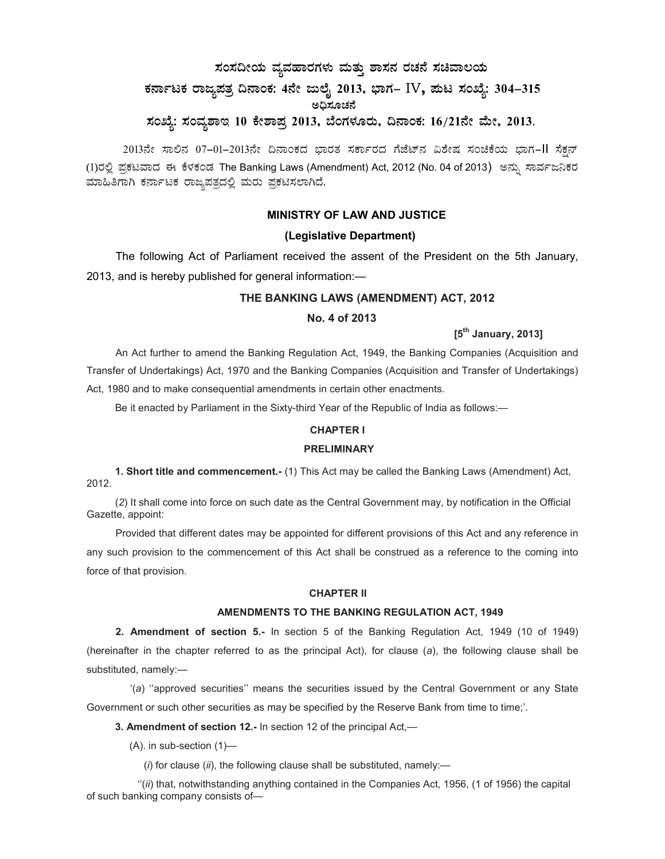# ಸಂಸದೀಯ ವ್ಯವಹಾರಗಳು ಮತ್ತು ಶಾಸನ ರಚನೆ ಸಚಿವಾಲಯ ಕರ್ನಾಟಕ ರಾಜ್ಯಪತ್ರ ದಿನಾಂಕ: 4ನೇ ಜುಲೈ 2013, ಭಾಗ– IV, ಮಟ ಸಂಖ್ಯೆ: 304–315 ಅಧಿಸೂಚನೆ ಸಂಖ್ಯೆ: ಸಂವ್ಯಶಾಇ 10 ಕೇಶಾಪ್ರ 2013, ಬೆಂಗಳೂರು, ದಿನಾಂಕ: 16/21ನೇ ಮೇ, 2013.

2013ನೇ ಸಾಲಿನ 07-01-2013ನೇ ದಿನಾಂಕದ ಭಾರತ ಸರ್ಕಾರದ ಗೆಜೆಟ್ ವಿಶೇಷ ಸಂಚಿಕೆಯ ಭಾಗ-II ಸೆಕ್ಷನ್ (1)ರಲ್ಲಿ ಪ್ರಕಟವಾದ ಈ ಕೆಳಕಂಡ The Banking Laws (Amendment) Act, 2012 (No. 04 of 2013) ಅನ್ನು ಸಾರ್ವಜನಿಕರ ಮಾಹಿತಿಗಾಗಿ ಕರ್ನಾಟಕ ರಾಜ್ಯಪತ್ರದಲ್ಲಿ ಮರು ಪ್ರಕಟಿಸಲಾಗಿದೆ.

# MINISTRY OF LAW AND JUSTICE

# (Legislative Department)

The following Act of Parliament received the assent of the President on the 5th January, 2013, and is hereby published for general information:—

# THE BANKING LAWS (AMENDMENT) ACT, 2012

# No. 4 of 2013

# [5<sup>th</sup> January, 2013]

An Act further to amend the Banking Regulation Act, 1949, the Banking Companies (Acquisition and Transfer of Undertakings) Act, 1970 and the Banking Companies (Acquisition and Transfer of Undertakings) Act, 1980 and to make consequential amendments in certain other enactments.

Be it enacted by Parliament in the Sixty-third Year of the Republic of India as follows:—

# CHAPTER I

#### PRELIMINARY

1. Short title and commencement.- (1) This Act may be called the Banking Laws (Amendment) Act, 2012.

(2) It shall come into force on such date as the Central Government may, by notification in the Official Gazette, appoint:

Provided that different dates may be appointed for different provisions of this Act and any reference in any such provision to the commencement of this Act shall be construed as a reference to the coming into force of that provision.

#### CHAPTER II

#### AMENDMENTS TO THE BANKING REGULATION ACT, 1949

2. Amendment of section 5.- In section 5 of the Banking Regulation Act, 1949 (10 of 1949) (hereinafter in the chapter referred to as the principal Act), for clause (a), the following clause shall be substituted, namely:—

'(a) ''approved securities'' means the securities issued by the Central Government or any State Government or such other securities as may be specified by the Reserve Bank from time to time;'.

3. Amendment of section 12.- In section 12 of the principal Act,—

(A). in sub-section (1)—

 $(i)$  for clause  $(ii)$ , the following clause shall be substituted, namely:—

 $''(ii)$  that, notwithstanding anything contained in the Companies Act, 1956, (1 of 1956) the capital of such banking company consists of—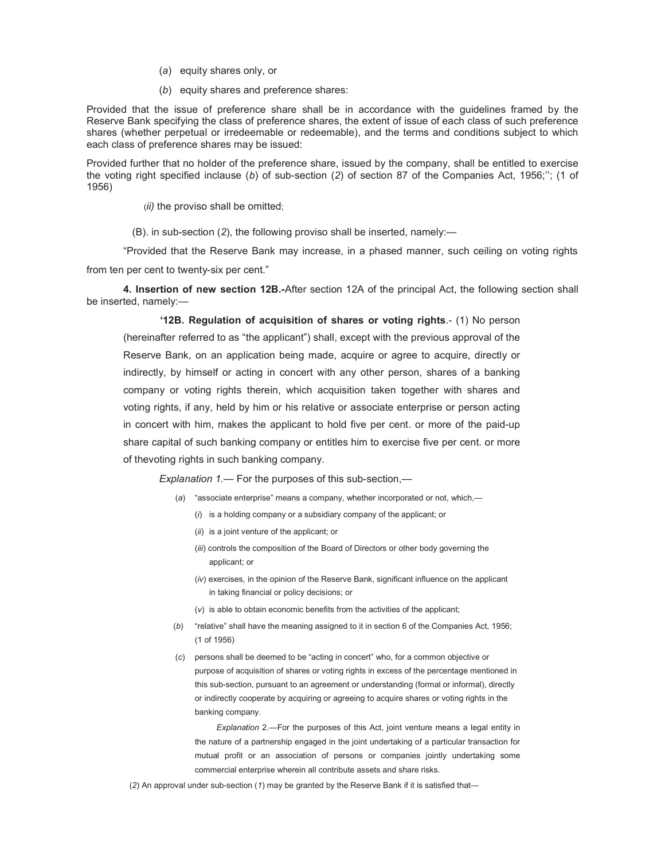- (a) equity shares only, or
- (b) equity shares and preference shares:

Provided that the issue of preference share shall be in accordance with the guidelines framed by the Reserve Bank specifying the class of preference shares, the extent of issue of each class of such preference shares (whether perpetual or irredeemable or redeemable), and the terms and conditions subject to which each class of preference shares may be issued:

Provided further that no holder of the preference share, issued by the company, shall be entitled to exercise the voting right specified inclause (b) of sub-section (2) of section 87 of the Companies Act, 1956;''; (1 of 1956)

(ii) the proviso shall be omitted;

(B). in sub-section (2), the following proviso shall be inserted, namely:—

"Provided that the Reserve Bank may increase, in a phased manner, such ceiling on voting rights from ten per cent to twenty-six per cent."

4. Insertion of new section 12B.-After section 12A of the principal Act, the following section shall be inserted, namely:—

'12B. Regulation of acquisition of shares or voting rights.- (1) No person (hereinafter referred to as "the applicant") shall, except with the previous approval of the Reserve Bank, on an application being made, acquire or agree to acquire, directly or indirectly, by himself or acting in concert with any other person, shares of a banking company or voting rights therein, which acquisition taken together with shares and voting rights, if any, held by him or his relative or associate enterprise or person acting in concert with him, makes the applicant to hold five per cent. or more of the paid-up share capital of such banking company or entitles him to exercise five per cent. or more of thevoting rights in such banking company.

Explanation 1.— For the purposes of this sub-section,—

- (a) "associate enterprise" means a company, whether incorporated or not, which,—
	- (i) is a holding company or a subsidiary company of the applicant; or
	- (ii) is a joint venture of the applicant; or
	- (iii) controls the composition of the Board of Directors or other body governing the applicant; or
	- (iv) exercises, in the opinion of the Reserve Bank, significant influence on the applicant in taking financial or policy decisions; or
	- (v) is able to obtain economic benefits from the activities of the applicant;
- (b) "relative" shall have the meaning assigned to it in section 6 of the Companies Act, 1956; (1 of 1956)
- (c) persons shall be deemed to be "acting in concert" who, for a common objective or purpose of acquisition of shares or voting rights in excess of the percentage mentioned in this sub-section, pursuant to an agreement or understanding (formal or informal), directly or indirectly cooperate by acquiring or agreeing to acquire shares or voting rights in the banking company.

Explanation 2.—For the purposes of this Act, joint venture means a legal entity in the nature of a partnership engaged in the joint undertaking of a particular transaction for mutual profit or an association of persons or companies jointly undertaking some commercial enterprise wherein all contribute assets and share risks.

(2) An approval under sub-section (1) may be granted by the Reserve Bank if it is satisfied that-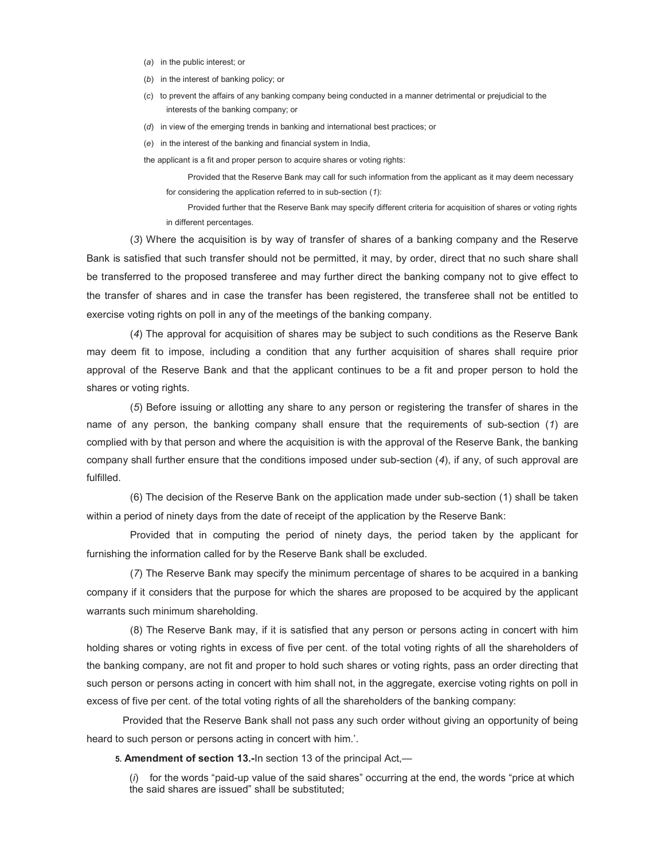- (a) in the public interest; or
- (b) in the interest of banking policy; or
- (c) to prevent the affairs of any banking company being conducted in a manner detrimental or prejudicial to the interests of the banking company; or
- (d) in view of the emerging trends in banking and international best practices; or
- (e) in the interest of the banking and financial system in India,

the applicant is a fit and proper person to acquire shares or voting rights:

Provided that the Reserve Bank may call for such information from the applicant as it may deem necessary for considering the application referred to in sub-section (1):

Provided further that the Reserve Bank may specify different criteria for acquisition of shares or voting rights in different percentages.

(3) Where the acquisition is by way of transfer of shares of a banking company and the Reserve Bank is satisfied that such transfer should not be permitted, it may, by order, direct that no such share shall be transferred to the proposed transferee and may further direct the banking company not to give effect to the transfer of shares and in case the transfer has been registered, the transferee shall not be entitled to exercise voting rights on poll in any of the meetings of the banking company.

(4) The approval for acquisition of shares may be subject to such conditions as the Reserve Bank may deem fit to impose, including a condition that any further acquisition of shares shall require prior approval of the Reserve Bank and that the applicant continues to be a fit and proper person to hold the shares or voting rights.

(5) Before issuing or allotting any share to any person or registering the transfer of shares in the name of any person, the banking company shall ensure that the requirements of sub-section (1) are complied with by that person and where the acquisition is with the approval of the Reserve Bank, the banking company shall further ensure that the conditions imposed under sub-section (4), if any, of such approval are fulfilled.

(6) The decision of the Reserve Bank on the application made under sub-section (1) shall be taken within a period of ninety days from the date of receipt of the application by the Reserve Bank:

Provided that in computing the period of ninety days, the period taken by the applicant for furnishing the information called for by the Reserve Bank shall be excluded.

(7) The Reserve Bank may specify the minimum percentage of shares to be acquired in a banking company if it considers that the purpose for which the shares are proposed to be acquired by the applicant warrants such minimum shareholding.

(8) The Reserve Bank may, if it is satisfied that any person or persons acting in concert with him holding shares or voting rights in excess of five per cent. of the total voting rights of all the shareholders of the banking company, are not fit and proper to hold such shares or voting rights, pass an order directing that such person or persons acting in concert with him shall not, in the aggregate, exercise voting rights on poll in excess of five per cent. of the total voting rights of all the shareholders of the banking company:

Provided that the Reserve Bank shall not pass any such order without giving an opportunity of being heard to such person or persons acting in concert with him.'.

5. Amendment of section 13.-In section 13 of the principal Act,—

 $(i)$  for the words "paid-up value of the said shares" occurring at the end, the words "price at which the said shares are issued" shall be substituted;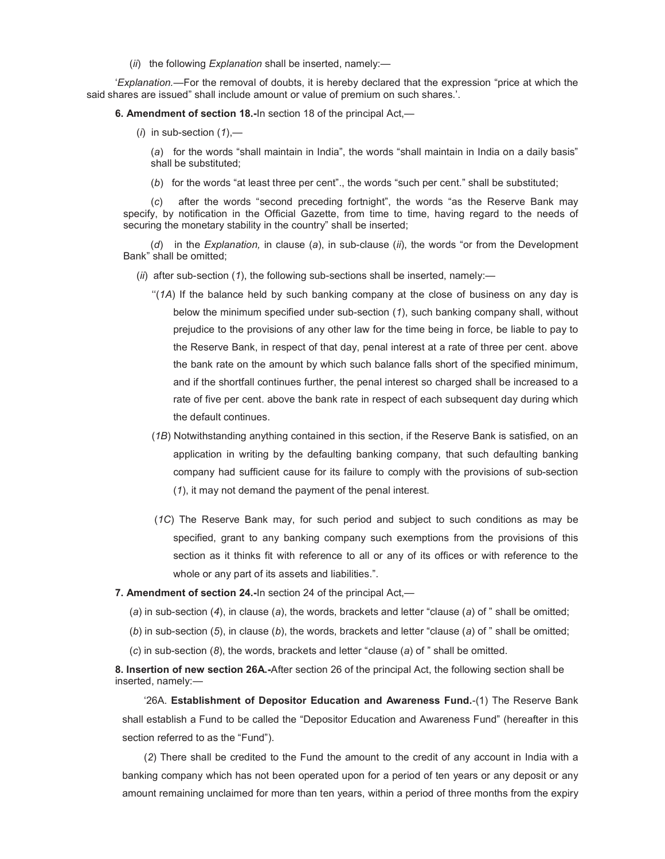$(ii)$  the following *Explanation* shall be inserted, namely:—

'Explanation.—For the removal of doubts, it is hereby declared that the expression "price at which the said shares are issued" shall include amount or value of premium on such shares.'.

6. Amendment of section 18.-In section 18 of the principal Act,—

 $(i)$  in sub-section  $(1)$ ,—

(a) for the words "shall maintain in India", the words "shall maintain in India on a daily basis" shall be substituted;

(b) for the words "at least three per cent"., the words "such per cent." shall be substituted;

(c) after the words "second preceding fortnight", the words "as the Reserve Bank may specify, by notification in the Official Gazette, from time to time, having regard to the needs of securing the monetary stability in the country" shall be inserted;

 $(d)$  in the *Explanation*, in clause  $(a)$ , in sub-clause  $(ii)$ , the words "or from the Development Bank" shall be omitted;

 $(ii)$  after sub-section (1), the following sub-sections shall be inserted, namely:—

- $''(1A)$  If the balance held by such banking company at the close of business on any day is below the minimum specified under sub-section (1), such banking company shall, without prejudice to the provisions of any other law for the time being in force, be liable to pay to the Reserve Bank, in respect of that day, penal interest at a rate of three per cent. above the bank rate on the amount by which such balance falls short of the specified minimum, and if the shortfall continues further, the penal interest so charged shall be increased to a rate of five per cent. above the bank rate in respect of each subsequent day during which the default continues.
- (1B) Notwithstanding anything contained in this section, if the Reserve Bank is satisfied, on an application in writing by the defaulting banking company, that such defaulting banking company had sufficient cause for its failure to comply with the provisions of sub-section (1), it may not demand the payment of the penal interest.
- (1C) The Reserve Bank may, for such period and subject to such conditions as may be specified, grant to any banking company such exemptions from the provisions of this section as it thinks fit with reference to all or any of its offices or with reference to the whole or any part of its assets and liabilities.".

7. Amendment of section 24.-In section 24 of the principal Act,—

- (a) in sub-section  $(4)$ , in clause  $(a)$ , the words, brackets and letter "clause  $(a)$  of " shall be omitted;
- (b) in sub-section (5), in clause (b), the words, brackets and letter "clause (a) of " shall be omitted;
- (c) in sub-section (8), the words, brackets and letter "clause (a) of " shall be omitted.

8. Insertion of new section 26A.-After section 26 of the principal Act, the following section shall be inserted, namely:—

'26A. Establishment of Depositor Education and Awareness Fund.-(1) The Reserve Bank shall establish a Fund to be called the "Depositor Education and Awareness Fund" (hereafter in this section referred to as the "Fund").

(2) There shall be credited to the Fund the amount to the credit of any account in India with a banking company which has not been operated upon for a period of ten years or any deposit or any amount remaining unclaimed for more than ten years, within a period of three months from the expiry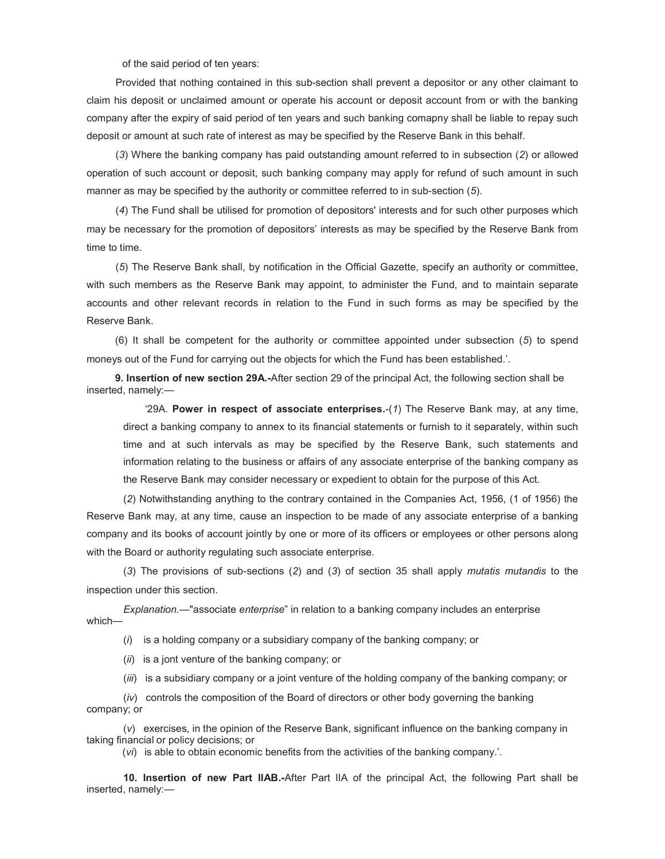of the said period of ten years:

Provided that nothing contained in this sub-section shall prevent a depositor or any other claimant to claim his deposit or unclaimed amount or operate his account or deposit account from or with the banking company after the expiry of said period of ten years and such banking comapny shall be liable to repay such deposit or amount at such rate of interest as may be specified by the Reserve Bank in this behalf.

(3) Where the banking company has paid outstanding amount referred to in subsection (2) or allowed operation of such account or deposit, such banking company may apply for refund of such amount in such manner as may be specified by the authority or committee referred to in sub-section (5).

(4) The Fund shall be utilised for promotion of depositors' interests and for such other purposes which may be necessary for the promotion of depositors' interests as may be specified by the Reserve Bank from time to time.

(5) The Reserve Bank shall, by notification in the Official Gazette, specify an authority or committee, with such members as the Reserve Bank may appoint, to administer the Fund, and to maintain separate accounts and other relevant records in relation to the Fund in such forms as may be specified by the Reserve Bank.

(6) It shall be competent for the authority or committee appointed under subsection (5) to spend moneys out of the Fund for carrying out the objects for which the Fund has been established.'.

9. Insertion of new section 29A.-After section 29 of the principal Act, the following section shall be inserted, namely:—

'29A. Power in respect of associate enterprises. $-(1)$  The Reserve Bank may, at any time, direct a banking company to annex to its financial statements or furnish to it separately, within such time and at such intervals as may be specified by the Reserve Bank, such statements and information relating to the business or affairs of any associate enterprise of the banking company as the Reserve Bank may consider necessary or expedient to obtain for the purpose of this Act.

(2) Notwithstanding anything to the contrary contained in the Companies Act, 1956, (1 of 1956) the Reserve Bank may, at any time, cause an inspection to be made of any associate enterprise of a banking company and its books of account jointly by one or more of its officers or employees or other persons along with the Board or authority regulating such associate enterprise.

(3) The provisions of sub-sections (2) and (3) of section 35 shall apply mutatis mutandis to the inspection under this section.

Explanation.—"associate enterprise" in relation to a banking company includes an enterprise which—

(i) is a holding company or a subsidiary company of the banking company; or

(*ii*) is a jont venture of the banking company; or

(iii) is a subsidiary company or a joint venture of the holding company of the banking company; or

(iv) controls the composition of the Board of directors or other body governing the banking company; or

(v) exercises, in the opinion of the Reserve Bank, significant influence on the banking company in taking financial or policy decisions; or

(vi) is able to obtain economic benefits from the activities of the banking company.'.

10. Insertion of new Part IIAB.-After Part IIA of the principal Act, the following Part shall be inserted, namely:—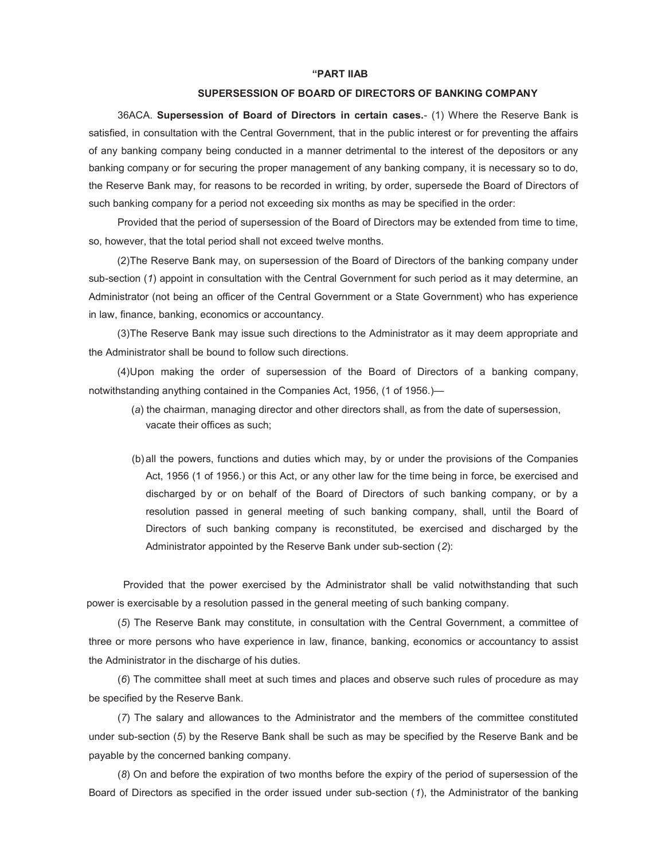#### "PART IIAB

## SUPERSESSION OF BOARD OF DIRECTORS OF BANKING COMPANY

36ACA. Supersession of Board of Directors in certain cases.- (1) Where the Reserve Bank is satisfied, in consultation with the Central Government, that in the public interest or for preventing the affairs of any banking company being conducted in a manner detrimental to the interest of the depositors or any banking company or for securing the proper management of any banking company, it is necessary so to do, the Reserve Bank may, for reasons to be recorded in writing, by order, supersede the Board of Directors of such banking company for a period not exceeding six months as may be specified in the order:

Provided that the period of supersession of the Board of Directors may be extended from time to time, so, however, that the total period shall not exceed twelve months.

(2) The Reserve Bank may, on supersession of the Board of Directors of the banking company under sub-section (1) appoint in consultation with the Central Government for such period as it may determine, an Administrator (not being an officer of the Central Government or a State Government) who has experience in law, finance, banking, economics or accountancy.

(3) The Reserve Bank may issue such directions to the Administrator as it may deem appropriate and the Administrator shall be bound to follow such directions.

(4) Upon making the order of supersession of the Board of Directors of a banking company, notwithstanding anything contained in the Companies Act, 1956, (1 of 1956.)—

- (a) the chairman, managing director and other directors shall, as from the date of supersession, vacate their offices as such;
- (b) all the powers, functions and duties which may, by or under the provisions of the Companies Act, 1956 (1 of 1956.) or this Act, or any other law for the time being in force, be exercised and discharged by or on behalf of the Board of Directors of such banking company, or by a resolution passed in general meeting of such banking company, shall, until the Board of Directors of such banking company is reconstituted, be exercised and discharged by the Administrator appointed by the Reserve Bank under sub-section (2):

Provided that the power exercised by the Administrator shall be valid notwithstanding that such power is exercisable by a resolution passed in the general meeting of such banking company.

(5) The Reserve Bank may constitute, in consultation with the Central Government, a committee of three or more persons who have experience in law, finance, banking, economics or accountancy to assist the Administrator in the discharge of his duties.

(6) The committee shall meet at such times and places and observe such rules of procedure as may be specified by the Reserve Bank.

(7) The salary and allowances to the Administrator and the members of the committee constituted under sub-section (5) by the Reserve Bank shall be such as may be specified by the Reserve Bank and be payable by the concerned banking company.

(8) On and before the expiration of two months before the expiry of the period of supersession of the Board of Directors as specified in the order issued under sub-section (1), the Administrator of the banking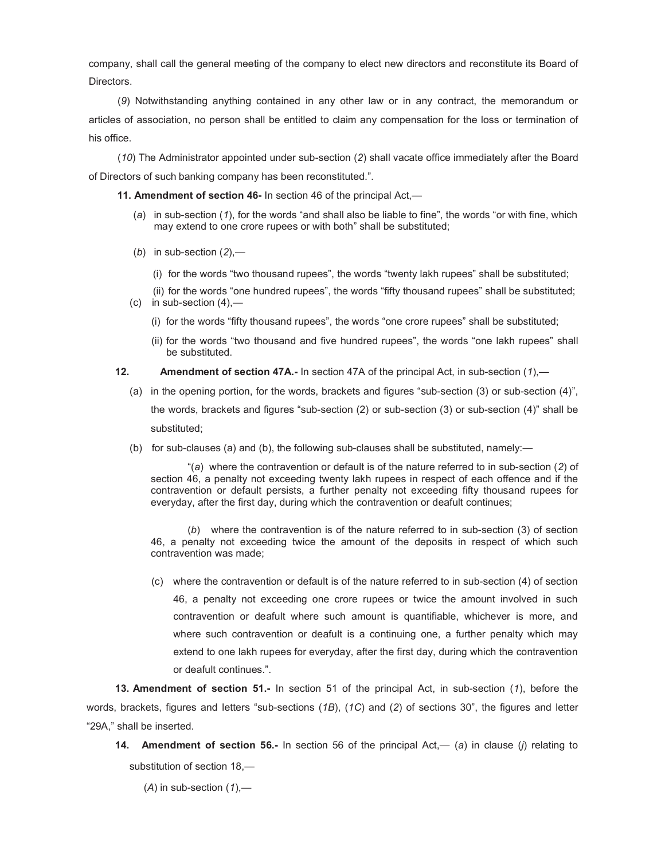company, shall call the general meeting of the company to elect new directors and reconstitute its Board of Directors.

(9) Notwithstanding anything contained in any other law or in any contract, the memorandum or articles of association, no person shall be entitled to claim any compensation for the loss or termination of his office.

(10) The Administrator appointed under sub-section (2) shall vacate office immediately after the Board of Directors of such banking company has been reconstituted.".

- 11. Amendment of section 46- In section 46 of the principal Act,—
	- (a) in sub-section  $(1)$ , for the words "and shall also be liable to fine", the words "or with fine, which may extend to one crore rupees or with both" shall be substituted;
	- (b) in sub-section  $(2)$ ,
		- (i) for the words "two thousand rupees", the words "twenty lakh rupees" shall be substituted;
	- (ii) for the words "one hundred rupees", the words "fifty thousand rupees" shall be substituted; (c) in sub-section  $(4)$ ,-
		- (i) for the words "fifty thousand rupees", the words "one crore rupees" shall be substituted;
		- (ii) for the words "two thousand and five hundred rupees", the words "one lakh rupees" shall be substituted.

# 12. Amendment of section 47A.- In section 47A of the principal Act, in sub-section (1),—

- (a) in the opening portion, for the words, brackets and figures "sub-section (3) or sub-section (4)", the words, brackets and figures "sub-section (2) or sub-section (3) or sub-section (4)" shall be substituted;
- (b) for sub-clauses (a) and (b), the following sub-clauses shall be substituted, namely:—

"(a) where the contravention or default is of the nature referred to in sub-section  $(2)$  of section 46, a penalty not exceeding twenty lakh rupees in respect of each offence and if the contravention or default persists, a further penalty not exceeding fifty thousand rupees for everyday, after the first day, during which the contravention or deafult continues;

(b) where the contravention is of the nature referred to in sub-section (3) of section 46, a penalty not exceeding twice the amount of the deposits in respect of which such contravention was made;

(c) where the contravention or default is of the nature referred to in sub-section (4) of section 46, a penalty not exceeding one crore rupees or twice the amount involved in such contravention or deafult where such amount is quantifiable, whichever is more, and where such contravention or deafult is a continuing one, a further penalty which may extend to one lakh rupees for everyday, after the first day, during which the contravention or deafult continues.".

13. Amendment of section 51.- In section 51 of the principal Act, in sub-section (1), before the words, brackets, figures and letters "sub-sections  $(1B)$ ,  $(1C)$  and  $(2)$  of sections 30", the figures and letter "29A," shall be inserted.

**14.** Amendment of section 56.- In section 56 of the principal Act,— (a) in clause (j) relating to substitution of section 18,—

 $(A)$  in sub-section  $(1)$ ,-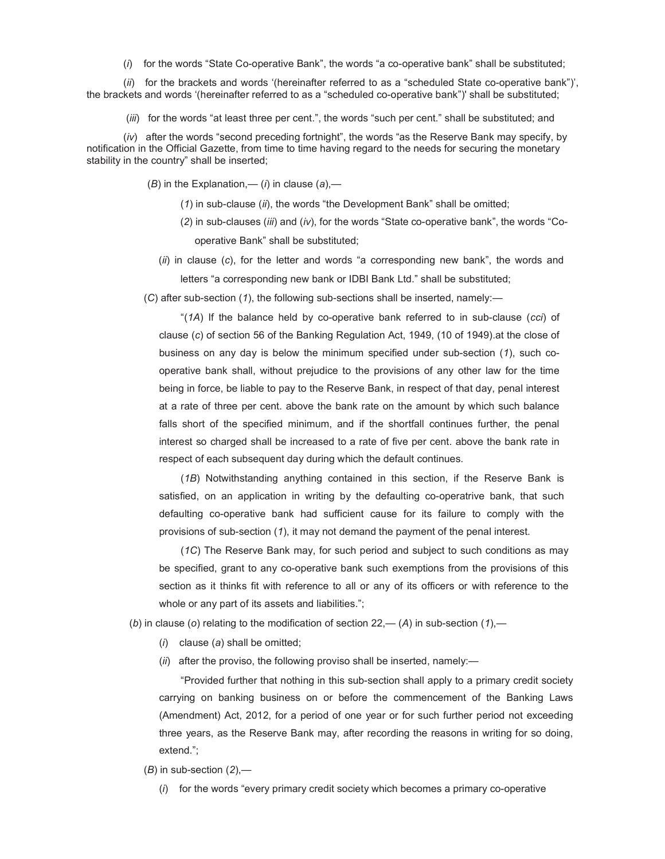(i) for the words "State Co-operative Bank", the words "a co-operative bank" shall be substituted;

 $(ii)$  for the brackets and words '(hereinafter referred to as a "scheduled State co-operative bank")', the brackets and words '(hereinafter referred to as a "scheduled co-operative bank")' shall be substituted;

(iii) for the words "at least three per cent.", the words "such per cent." shall be substituted; and

(iv) after the words "second preceding fortnight", the words "as the Reserve Bank may specify, by notification in the Official Gazette, from time to time having regard to the needs for securing the monetary stability in the country" shall be inserted;

(B) in the Explanation,—  $(i)$  in clause  $(a)$ ,—

- (1) in sub-clause (ii), the words "the Development Bank" shall be omitted;
- $(2)$  in sub-clauses (iii) and (iv), for the words "State co-operative bank", the words "Cooperative Bank" shall be substituted;
- $(ii)$  in clause  $(c)$ , for the letter and words "a corresponding new bank", the words and letters "a corresponding new bank or IDBI Bank Ltd." shall be substituted;

(C) after sub-section (1), the following sub-sections shall be inserted, namely:—

"( $1A$ ) If the balance held by co-operative bank referred to in sub-clause ( $cci$ ) of clause (c) of section 56 of the Banking Regulation Act, 1949, (10 of 1949).at the close of business on any day is below the minimum specified under sub-section (1), such cooperative bank shall, without prejudice to the provisions of any other law for the time being in force, be liable to pay to the Reserve Bank, in respect of that day, penal interest at a rate of three per cent. above the bank rate on the amount by which such balance falls short of the specified minimum, and if the shortfall continues further, the penal interest so charged shall be increased to a rate of five per cent. above the bank rate in respect of each subsequent day during which the default continues.

(1B) Notwithstanding anything contained in this section, if the Reserve Bank is satisfied, on an application in writing by the defaulting co-operatrive bank, that such defaulting co-operative bank had sufficient cause for its failure to comply with the provisions of sub-section (1), it may not demand the payment of the penal interest.

(1C) The Reserve Bank may, for such period and subject to such conditions as may be specified, grant to any co-operative bank such exemptions from the provisions of this section as it thinks fit with reference to all or any of its officers or with reference to the whole or any part of its assets and liabilities.";

(b) in clause (o) relating to the modification of section  $22, -$  (A) in sub-section  $(1), -$ 

- $(i)$  clause  $(a)$  shall be omitted;
- (ii) after the proviso, the following proviso shall be inserted, namely:-

"Provided further that nothing in this sub-section shall apply to a primary credit society carrying on banking business on or before the commencement of the Banking Laws (Amendment) Act, 2012, for a period of one year or for such further period not exceeding three years, as the Reserve Bank may, after recording the reasons in writing for so doing, extend.";

 $(B)$  in sub-section  $(2)$ ,—

 $(i)$  for the words "every primary credit society which becomes a primary co-operative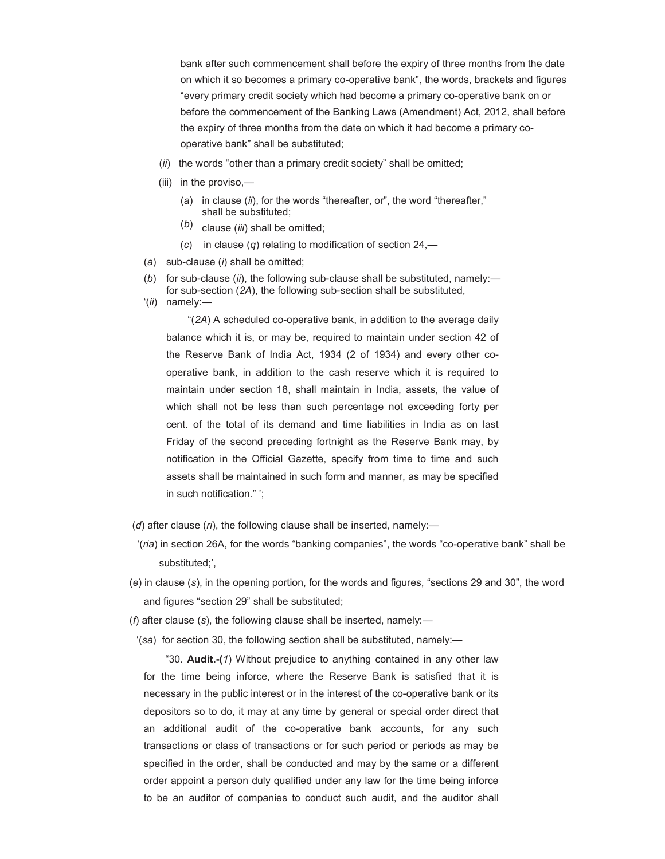bank after such commencement shall before the expiry of three months from the date on which it so becomes a primary co-operative bank", the words, brackets and figures "every primary credit society which had become a primary co-operative bank on or before the commencement of the Banking Laws (Amendment) Act, 2012, shall before the expiry of three months from the date on which it had become a primary cooperative bank" shall be substituted;

- (ii) the words "other than a primary credit society" shall be omitted;
- (iii) in the proviso,—
	- (a) in clause  $(ii)$ , for the words "thereafter, or", the word "thereafter," shall be substituted;
	- $(b)$  clause (*iii*) shall be omitted;
	- (c) in clause (q) relating to modification of section  $24,$
- $(a)$  sub-clause  $(i)$  shall be omitted;
- (b) for sub-clause  $(ii)$ , the following sub-clause shall be substituted, namely:for sub-section (2A), the following sub-section shall be substituted,
- '(ii) namely:—

"(2A) A scheduled co-operative bank, in addition to the average daily balance which it is, or may be, required to maintain under section 42 of the Reserve Bank of India Act, 1934 (2 of 1934) and every other cooperative bank, in addition to the cash reserve which it is required to maintain under section 18, shall maintain in India, assets, the value of which shall not be less than such percentage not exceeding forty per cent. of the total of its demand and time liabilities in India as on last Friday of the second preceding fortnight as the Reserve Bank may, by notification in the Official Gazette, specify from time to time and such assets shall be maintained in such form and manner, as may be specified in such notification." ';

- ( $d$ ) after clause ( $ri$ ), the following clause shall be inserted, namely:-
- '(ria) in section 26A, for the words "banking companies", the words "co-operative bank" shall be substituted;',
- (e) in clause (s), in the opening portion, for the words and figures, "sections 29 and 30", the word and figures "section 29" shall be substituted;
- ( $f$ ) after clause (s), the following clause shall be inserted, namely:-
- '(sa) for section 30, the following section shall be substituted, namely:—

"30. Audit.-(1) Without prejudice to anything contained in any other law for the time being inforce, where the Reserve Bank is satisfied that it is necessary in the public interest or in the interest of the co-operative bank or its depositors so to do, it may at any time by general or special order direct that an additional audit of the co-operative bank accounts, for any such transactions or class of transactions or for such period or periods as may be specified in the order, shall be conducted and may by the same or a different order appoint a person duly qualified under any law for the time being inforce to be an auditor of companies to conduct such audit, and the auditor shall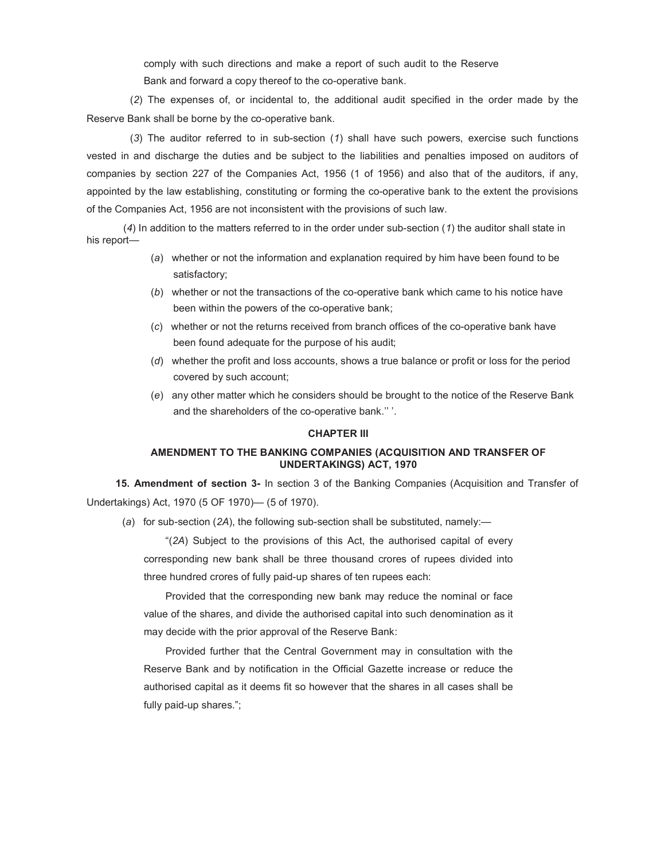comply with such directions and make a report of such audit to the Reserve Bank and forward a copy thereof to the co-operative bank.

(2) The expenses of, or incidental to, the additional audit specified in the order made by the Reserve Bank shall be borne by the co-operative bank.

(3) The auditor referred to in sub-section (1) shall have such powers, exercise such functions vested in and discharge the duties and be subject to the liabilities and penalties imposed on auditors of companies by section 227 of the Companies Act, 1956 (1 of 1956) and also that of the auditors, if any, appointed by the law establishing, constituting or forming the co-operative bank to the extent the provisions of the Companies Act, 1956 are not inconsistent with the provisions of such law.

(4) In addition to the matters referred to in the order under sub-section (1) the auditor shall state in his report—

- (a) whether or not the information and explanation required by him have been found to be satisfactory;
- (b) whether or not the transactions of the co-operative bank which came to his notice have been within the powers of the co-operative bank;
- (c) whether or not the returns received from branch offices of the co-operative bank have been found adequate for the purpose of his audit;
- (d) whether the profit and loss accounts, shows a true balance or profit or loss for the period covered by such account;
- (e) any other matter which he considers should be brought to the notice of the Reserve Bank and the shareholders of the co-operative bank.'' '.

#### CHAPTER III

# AMENDMENT TO THE BANKING COMPANIES (ACQUISITION AND TRANSFER OF UNDERTAKINGS) ACT, 1970

15. Amendment of section 3- In section 3 of the Banking Companies (Acquisition and Transfer of Undertakings) Act, 1970 (5 OF 1970)— (5 of 1970).

(a) for sub-section (2A), the following sub-section shall be substituted, namely:—

"(2A) Subject to the provisions of this Act, the authorised capital of every corresponding new bank shall be three thousand crores of rupees divided into three hundred crores of fully paid-up shares of ten rupees each:

Provided that the corresponding new bank may reduce the nominal or face value of the shares, and divide the authorised capital into such denomination as it may decide with the prior approval of the Reserve Bank:

Provided further that the Central Government may in consultation with the Reserve Bank and by notification in the Official Gazette increase or reduce the authorised capital as it deems fit so however that the shares in all cases shall be fully paid-up shares.";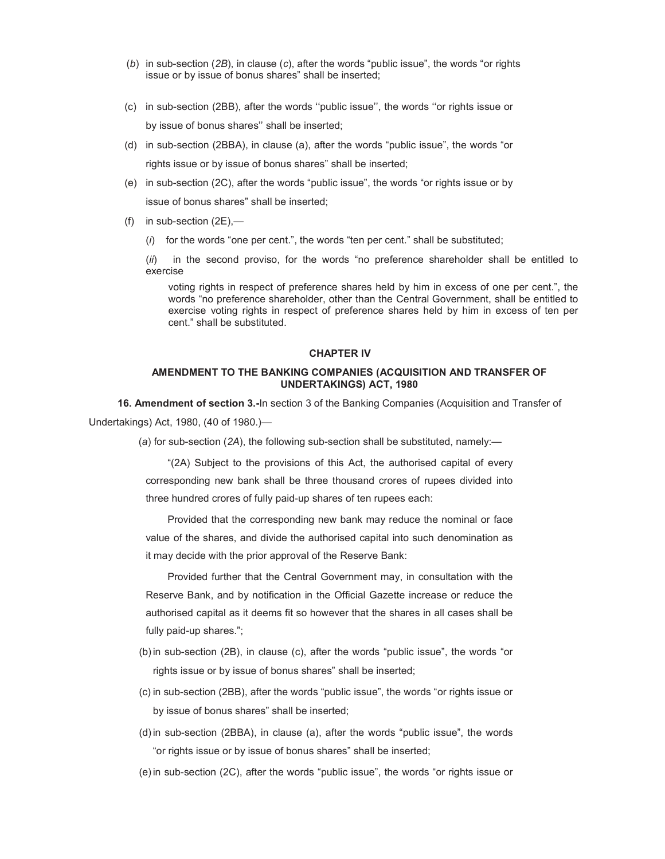- (b) in sub-section  $(2B)$ , in clause  $(c)$ , after the words "public issue", the words "or rights issue or by issue of bonus shares" shall be inserted;
- (c) in sub-section (2BB), after the words ''public issue'', the words ''or rights issue or by issue of bonus shares'' shall be inserted;
- (d) in sub-section (2BBA), in clause (a), after the words "public issue", the words "or rights issue or by issue of bonus shares" shall be inserted;
- (e) in sub-section (2C), after the words "public issue", the words "or rights issue or by issue of bonus shares" shall be inserted;
- (f) in sub-section  $(2E)$ ,—
	- $(i)$  for the words "one per cent.", the words "ten per cent." shall be substituted;

 $(ii)$  in the second proviso, for the words "no preference shareholder shall be entitled to exercise

voting rights in respect of preference shares held by him in excess of one per cent.", the words "no preference shareholder, other than the Central Government, shall be entitled to exercise voting rights in respect of preference shares held by him in excess of ten per cent." shall be substituted.

#### CHAPTER IV

# AMENDMENT TO THE BANKING COMPANIES (ACQUISITION AND TRANSFER OF UNDERTAKINGS) ACT, 1980

16. Amendment of section 3.-In section 3 of the Banking Companies (Acquisition and Transfer of Undertakings) Act, 1980, (40 of 1980.)—

(a) for sub-section (2A), the following sub-section shall be substituted, namely:—

"(2A) Subject to the provisions of this Act, the authorised capital of every corresponding new bank shall be three thousand crores of rupees divided into three hundred crores of fully paid-up shares of ten rupees each:

Provided that the corresponding new bank may reduce the nominal or face value of the shares, and divide the authorised capital into such denomination as it may decide with the prior approval of the Reserve Bank:

Provided further that the Central Government may, in consultation with the Reserve Bank, and by notification in the Official Gazette increase or reduce the authorised capital as it deems fit so however that the shares in all cases shall be fully paid-up shares.";

- (b) in sub-section (2B), in clause (c), after the words "public issue", the words "or rights issue or by issue of bonus shares" shall be inserted;
- (c) in sub-section (2BB), after the words "public issue", the words "or rights issue or by issue of bonus shares" shall be inserted;
- (d) in sub-section (2BBA), in clause (a), after the words "public issue", the words "or rights issue or by issue of bonus shares" shall be inserted;
- (e) in sub-section (2C), after the words "public issue", the words "or rights issue or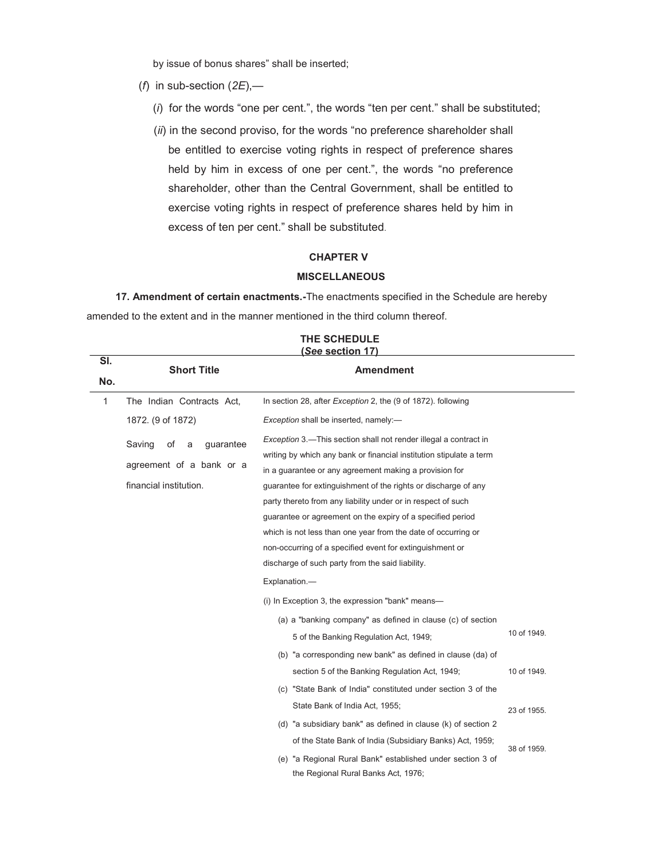by issue of bonus shares" shall be inserted;

- (f) in sub-section  $(2E)$ ,—
	- $(i)$  for the words "one per cent.", the words "ten per cent." shall be substituted;
	- (ii) in the second proviso, for the words "no preference shareholder shall be entitled to exercise voting rights in respect of preference shares held by him in excess of one per cent.", the words "no preference shareholder, other than the Central Government, shall be entitled to exercise voting rights in respect of preference shares held by him in excess of ten per cent." shall be substituted.

# CHAPTER V

#### **MISCELLANEOUS**

17. Amendment of certain enactments.-The enactments specified in the Schedule are hereby amended to the extent and in the manner mentioned in the third column thereof.

| SI. | <u>See section T</u>                                                                 |                                                                                                                                                                                                                                                                                                                                                                                                                                                                                                                                                                                    |             |  |  |  |
|-----|--------------------------------------------------------------------------------------|------------------------------------------------------------------------------------------------------------------------------------------------------------------------------------------------------------------------------------------------------------------------------------------------------------------------------------------------------------------------------------------------------------------------------------------------------------------------------------------------------------------------------------------------------------------------------------|-------------|--|--|--|
|     | <b>Short Title</b>                                                                   | <b>Amendment</b>                                                                                                                                                                                                                                                                                                                                                                                                                                                                                                                                                                   |             |  |  |  |
| No. |                                                                                      |                                                                                                                                                                                                                                                                                                                                                                                                                                                                                                                                                                                    |             |  |  |  |
| 1   | The Indian Contracts Act,                                                            | In section 28, after <i>Exception</i> 2, the (9 of 1872). following                                                                                                                                                                                                                                                                                                                                                                                                                                                                                                                |             |  |  |  |
|     | 1872. (9 of 1872)                                                                    | Exception shall be inserted, namely:-                                                                                                                                                                                                                                                                                                                                                                                                                                                                                                                                              |             |  |  |  |
|     | Saving<br>of<br>guarantee<br>a<br>agreement of a bank or a<br>financial institution. | Exception 3.—This section shall not render illegal a contract in<br>writing by which any bank or financial institution stipulate a term<br>in a guarantee or any agreement making a provision for<br>guarantee for extinguishment of the rights or discharge of any<br>party thereto from any liability under or in respect of such<br>guarantee or agreement on the expiry of a specified period<br>which is not less than one year from the date of occurring or<br>non-occurring of a specified event for extinguishment or<br>discharge of such party from the said liability. |             |  |  |  |
|     |                                                                                      | Explanation.-                                                                                                                                                                                                                                                                                                                                                                                                                                                                                                                                                                      |             |  |  |  |
|     |                                                                                      | (i) In Exception 3, the expression "bank" means-                                                                                                                                                                                                                                                                                                                                                                                                                                                                                                                                   |             |  |  |  |
|     |                                                                                      | (a) a "banking company" as defined in clause (c) of section<br>5 of the Banking Regulation Act, 1949;<br>(b) "a corresponding new bank" as defined in clause (da) of                                                                                                                                                                                                                                                                                                                                                                                                               | 10 of 1949. |  |  |  |
|     |                                                                                      | section 5 of the Banking Regulation Act, 1949;<br>(c) "State Bank of India" constituted under section 3 of the                                                                                                                                                                                                                                                                                                                                                                                                                                                                     | 10 of 1949. |  |  |  |
|     |                                                                                      | State Bank of India Act, 1955;                                                                                                                                                                                                                                                                                                                                                                                                                                                                                                                                                     | 23 of 1955. |  |  |  |
|     |                                                                                      | (d) "a subsidiary bank" as defined in clause (k) of section 2<br>of the State Bank of India (Subsidiary Banks) Act, 1959;                                                                                                                                                                                                                                                                                                                                                                                                                                                          | 38 of 1959. |  |  |  |
|     |                                                                                      | (e) "a Regional Rural Bank" established under section 3 of<br>the Regional Rural Banks Act, 1976;                                                                                                                                                                                                                                                                                                                                                                                                                                                                                  |             |  |  |  |

THE SCHEDULE (See section 17)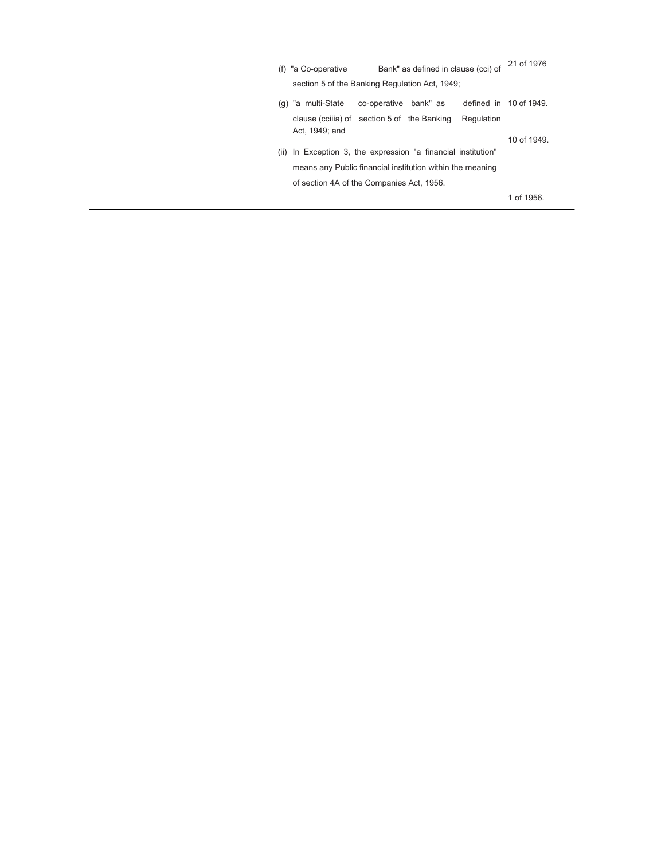| (f) "a Co-operative"                           |                       | Bank" as defined in clause (cci) of | 21 of 1976 |
|------------------------------------------------|-----------------------|-------------------------------------|------------|
| section 5 of the Banking Regulation Act, 1949; |                       |                                     |            |
| (g) "a multi-State"                            | co-operative bank" as | defined in $10$ of $1949$ .         |            |

| $\mathbf{Q}$ a muni-oral co-operative bank as a defined in rooms-of- |  |  |            |             |
|----------------------------------------------------------------------|--|--|------------|-------------|
| clause (cciiia) of section 5 of the Banking                          |  |  | Regulation |             |
| Act, 1949; and                                                       |  |  |            | 10 of 1949. |
| (ii) In Exception 3, the expression "a financial institution"        |  |  |            |             |
| means any Public financial institution within the meaning            |  |  |            |             |
| of section 4A of the Companies Act, 1956.                            |  |  |            |             |
|                                                                      |  |  |            | 1 of 1956.  |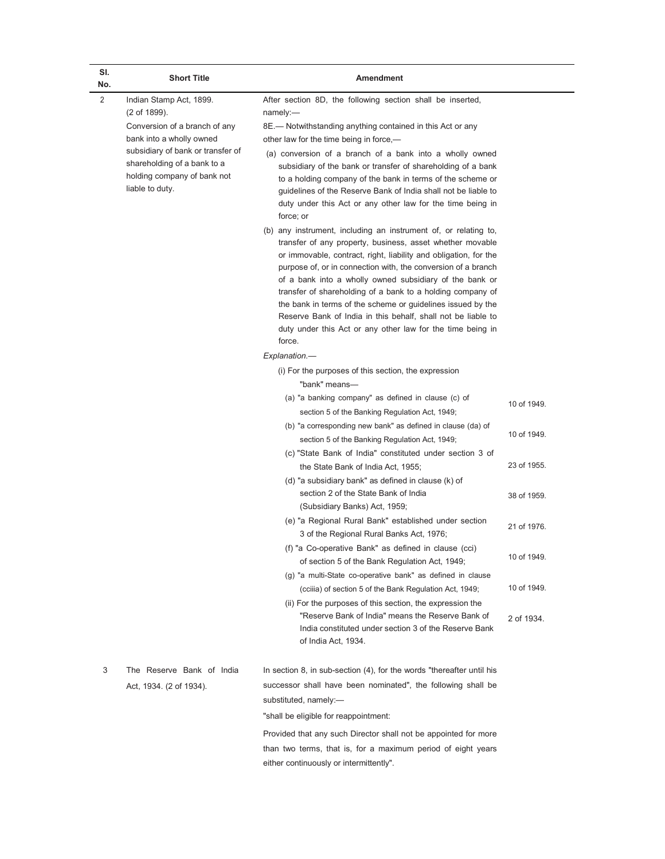| SI.<br>No.     | <b>Short Title</b><br>Indian Stamp Act, 1899.<br>(2 of 1899).                                                      | <b>Amendment</b>                                                                                                                                                                                                                                                                                                                                                                                                                                                                                                                                                                                  |             |  |  |
|----------------|--------------------------------------------------------------------------------------------------------------------|---------------------------------------------------------------------------------------------------------------------------------------------------------------------------------------------------------------------------------------------------------------------------------------------------------------------------------------------------------------------------------------------------------------------------------------------------------------------------------------------------------------------------------------------------------------------------------------------------|-------------|--|--|
| $\overline{2}$ |                                                                                                                    | After section 8D, the following section shall be inserted,<br>namely:                                                                                                                                                                                                                                                                                                                                                                                                                                                                                                                             |             |  |  |
|                | Conversion of a branch of any<br>bank into a wholly owned                                                          | 8E.— Notwithstanding anything contained in this Act or any<br>other law for the time being in force,—                                                                                                                                                                                                                                                                                                                                                                                                                                                                                             |             |  |  |
|                | subsidiary of bank or transfer of<br>shareholding of a bank to a<br>holding company of bank not<br>liable to duty. | (a) conversion of a branch of a bank into a wholly owned<br>subsidiary of the bank or transfer of shareholding of a bank<br>to a holding company of the bank in terms of the scheme or<br>guidelines of the Reserve Bank of India shall not be liable to<br>duty under this Act or any other law for the time being in<br>force; or                                                                                                                                                                                                                                                               |             |  |  |
|                |                                                                                                                    | (b) any instrument, including an instrument of, or relating to,<br>transfer of any property, business, asset whether movable<br>or immovable, contract, right, liability and obligation, for the<br>purpose of, or in connection with, the conversion of a branch<br>of a bank into a wholly owned subsidiary of the bank or<br>transfer of shareholding of a bank to a holding company of<br>the bank in terms of the scheme or guidelines issued by the<br>Reserve Bank of India in this behalf, shall not be liable to<br>duty under this Act or any other law for the time being in<br>force. |             |  |  |
|                |                                                                                                                    | Explanation.-                                                                                                                                                                                                                                                                                                                                                                                                                                                                                                                                                                                     |             |  |  |
|                |                                                                                                                    | (i) For the purposes of this section, the expression<br>"bank" means—                                                                                                                                                                                                                                                                                                                                                                                                                                                                                                                             |             |  |  |
|                |                                                                                                                    | (a) "a banking company" as defined in clause (c) of<br>section 5 of the Banking Regulation Act, 1949;                                                                                                                                                                                                                                                                                                                                                                                                                                                                                             | 10 of 1949. |  |  |
|                |                                                                                                                    | (b) "a corresponding new bank" as defined in clause (da) of<br>section 5 of the Banking Regulation Act, 1949;<br>(c) "State Bank of India" constituted under section 3 of                                                                                                                                                                                                                                                                                                                                                                                                                         | 10 of 1949. |  |  |
|                |                                                                                                                    | the State Bank of India Act, 1955;<br>(d) "a subsidiary bank" as defined in clause (k) of                                                                                                                                                                                                                                                                                                                                                                                                                                                                                                         | 23 of 1955. |  |  |
|                |                                                                                                                    | section 2 of the State Bank of India<br>(Subsidiary Banks) Act, 1959;                                                                                                                                                                                                                                                                                                                                                                                                                                                                                                                             | 38 of 1959. |  |  |
|                |                                                                                                                    | (e) "a Regional Rural Bank" established under section<br>3 of the Regional Rural Banks Act, 1976;                                                                                                                                                                                                                                                                                                                                                                                                                                                                                                 | 21 of 1976. |  |  |
|                |                                                                                                                    | (f) "a Co-operative Bank" as defined in clause (cci)<br>of section 5 of the Bank Regulation Act, 1949;                                                                                                                                                                                                                                                                                                                                                                                                                                                                                            | 10 of 1949. |  |  |
|                |                                                                                                                    | (g) "a multi-State co-operative bank" as defined in clause<br>(cciiia) of section 5 of the Bank Regulation Act, 1949;<br>(ii) For the purposes of this section, the expression the                                                                                                                                                                                                                                                                                                                                                                                                                | 10 of 1949. |  |  |
|                |                                                                                                                    | "Reserve Bank of India" means the Reserve Bank of<br>India constituted under section 3 of the Reserve Bank<br>of India Act, 1934.                                                                                                                                                                                                                                                                                                                                                                                                                                                                 | 2 of 1934.  |  |  |
| 3              | The Reserve Bank of India<br>Act, 1934. (2 of 1934).                                                               | In section 8, in sub-section (4), for the words "thereafter until his<br>successor shall have been nominated", the following shall be                                                                                                                                                                                                                                                                                                                                                                                                                                                             |             |  |  |
|                |                                                                                                                    | substituted, namely:-                                                                                                                                                                                                                                                                                                                                                                                                                                                                                                                                                                             |             |  |  |
|                |                                                                                                                    | "shall be eligible for reappointment:                                                                                                                                                                                                                                                                                                                                                                                                                                                                                                                                                             |             |  |  |
|                |                                                                                                                    | Provided that any such Director shall not be appointed for more<br>than two terms, that is, for a maximum period of eight years                                                                                                                                                                                                                                                                                                                                                                                                                                                                   |             |  |  |
|                |                                                                                                                    | either continuously or intermittently".                                                                                                                                                                                                                                                                                                                                                                                                                                                                                                                                                           |             |  |  |